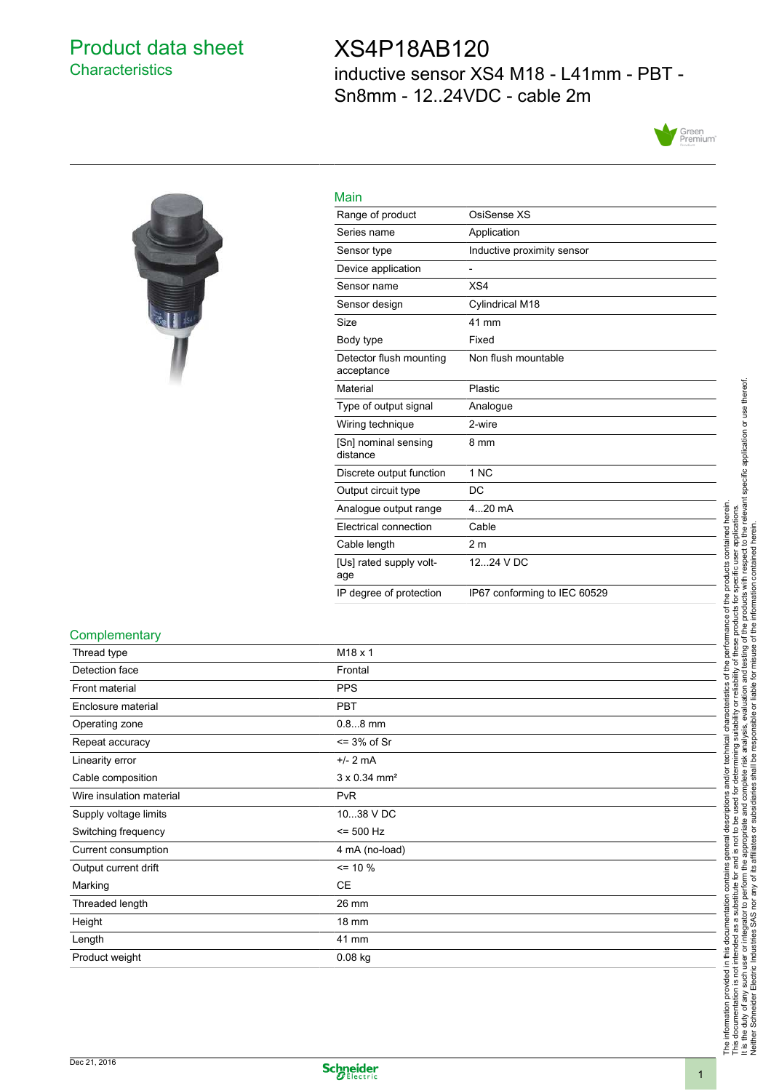### Product data sheet **Characteristics**

### XS4P18AB120

inductive sensor XS4 M18 - L41mm - PBT - Sn8mm - 12..24VDC - cable 2m





| Main                                  |                              |
|---------------------------------------|------------------------------|
| Range of product                      | OsiSense XS                  |
| Series name                           | Application                  |
| Sensor type                           | Inductive proximity sensor   |
| Device application                    |                              |
| Sensor name                           | XS4                          |
| Sensor design                         | Cylindrical M18              |
| Size                                  | 41 mm                        |
| Body type                             | Fixed                        |
| Detector flush mounting<br>acceptance | Non flush mountable          |
| Material                              | Plastic                      |
| Type of output signal                 | Analogue                     |
| Wiring technique                      | 2-wire                       |
| [Sn] nominal sensing<br>distance      | 8 mm                         |
| Discrete output function              | 1 NC                         |
| Output circuit type                   | DC                           |
| Analogue output range                 | $420$ mA                     |
| Electrical connection                 | Cable                        |
| Cable length                          | 2 <sub>m</sub>               |
| [Us] rated supply volt-<br>age        | 1224 V DC                    |
| IP degree of protection               | IP67 conforming to IEC 60529 |

#### **Complementary**

| Thread type              | M <sub>18</sub> x 1             |
|--------------------------|---------------------------------|
| Detection face           | Frontal                         |
| Front material           | <b>PPS</b>                      |
| Enclosure material       | <b>PBT</b>                      |
| Operating zone           | $0.88$ mm                       |
| Repeat accuracy          | $\leq$ 3% of Sr                 |
| Linearity error          | $+/- 2 mA$                      |
| Cable composition        | $3 \times 0.34$ mm <sup>2</sup> |
| Wire insulation material | <b>PvR</b>                      |
| Supply voltage limits    | 1038 V DC                       |
| Switching frequency      | $= 500$ Hz                      |
| Current consumption      | 4 mA (no-load)                  |
| Output current drift     | $= 10 \%$                       |
| Marking                  | <b>CE</b>                       |
| Threaded length          | 26 mm                           |
| Height                   | 18 mm                           |
| Length                   | 41 mm                           |
| Product weight           | $0.08$ kg                       |

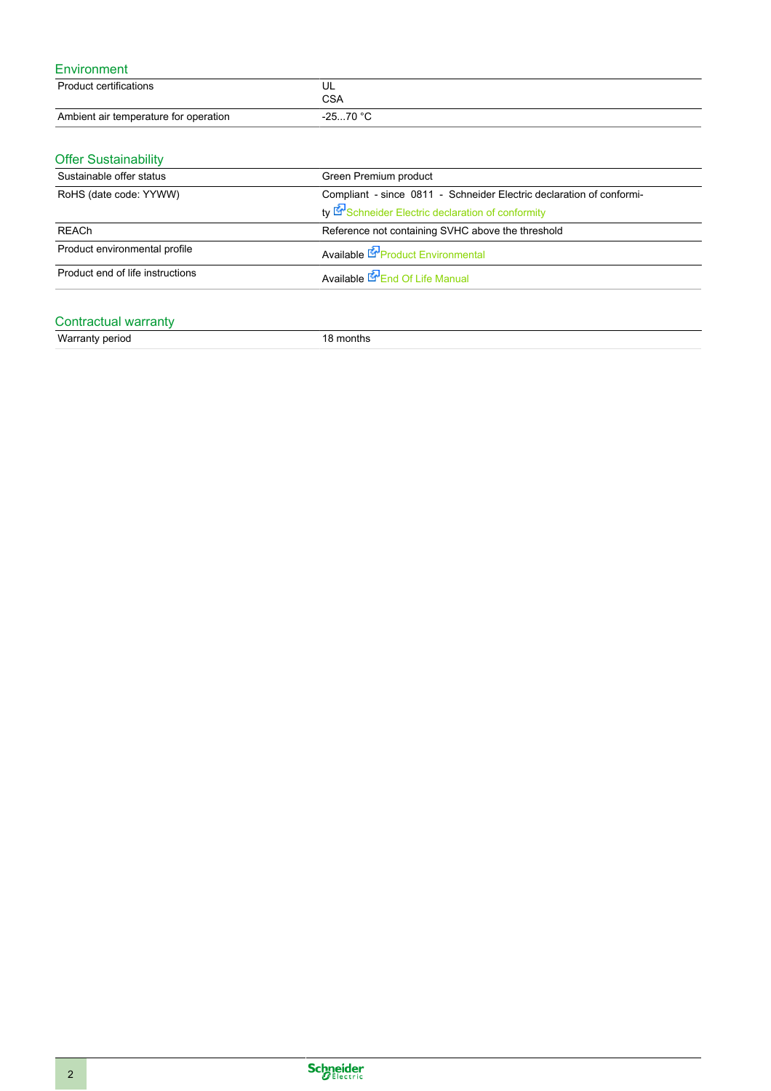#### Environment

| Product certifications                | UL<br>CSA |
|---------------------------------------|-----------|
| Ambient air temperature for operation | -2570 °C  |

### Offer Sustainability

| Sustainable offer status         | Green Premium product                                                |  |
|----------------------------------|----------------------------------------------------------------------|--|
| RoHS (date code: YYWW)           | Compliant - since 0811 - Schneider Electric declaration of conformi- |  |
|                                  | ty Schneider Electric declaration of conformity                      |  |
| REACh                            | Reference not containing SVHC above the threshold                    |  |
| Product environmental profile    | Available <b>C</b> Product Environmental                             |  |
| Product end of life instructions | Available <b>E</b> End Of Life Manual                                |  |

#### Contractual warranty

| Warranty period | nonths |  |
|-----------------|--------|--|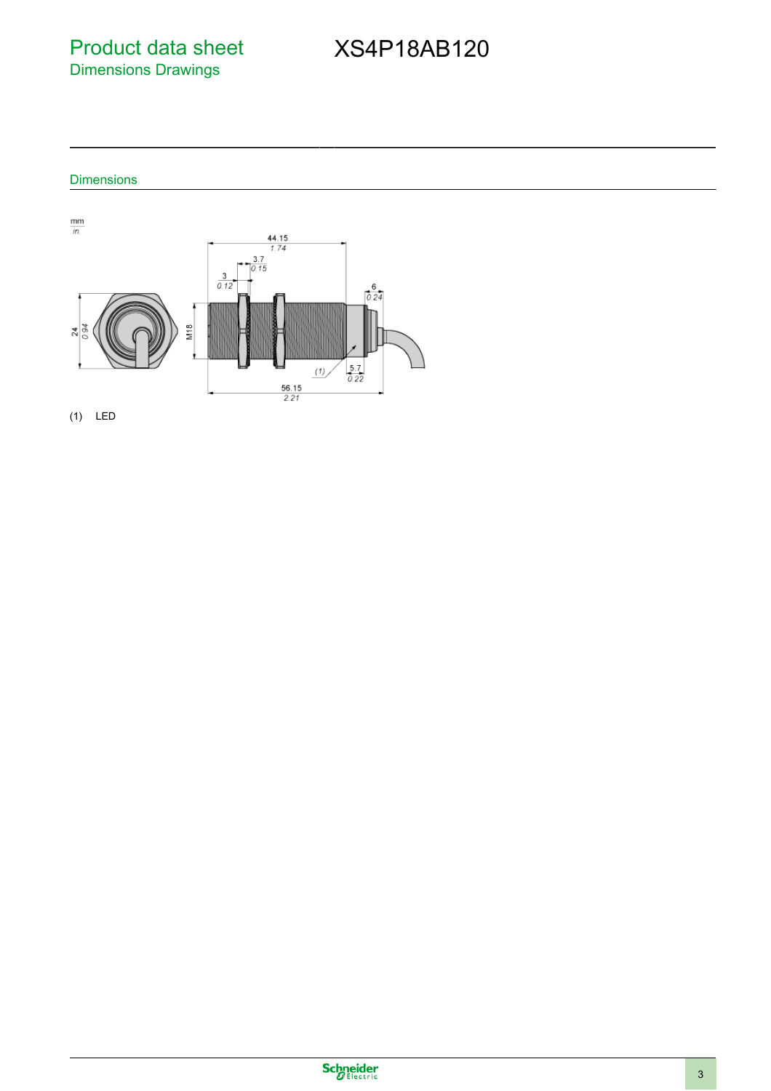Product data sheet Dimensions Drawings

## XS4P18AB120

#### Dimensions





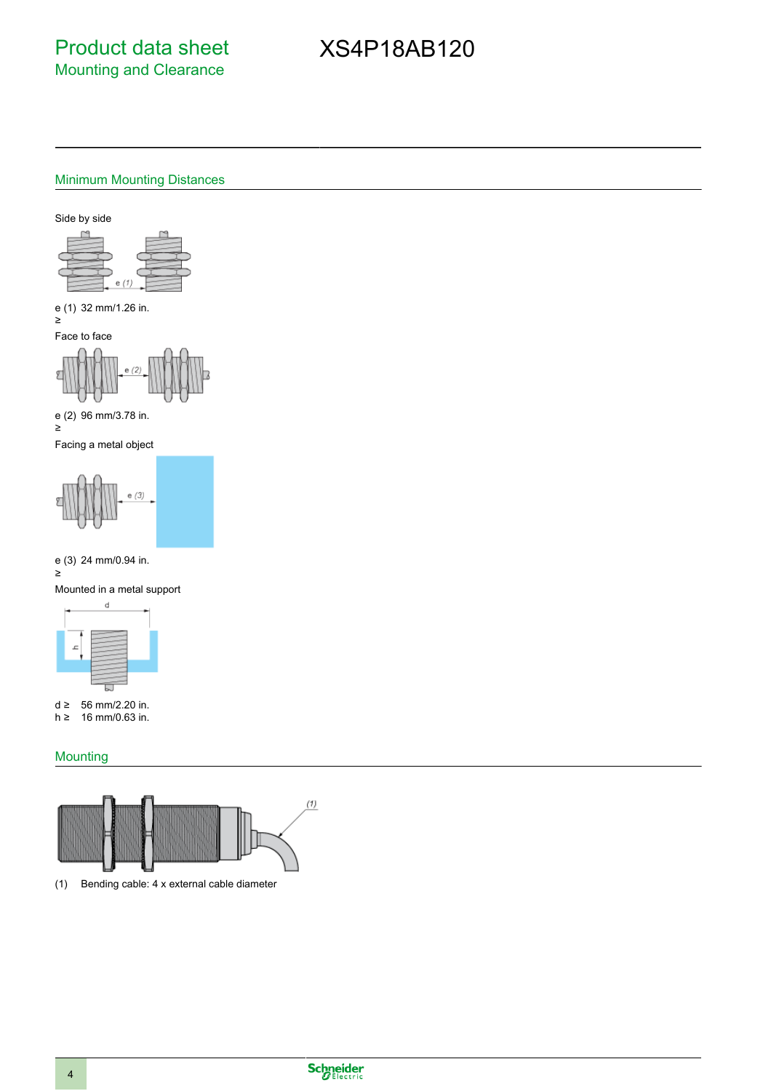## XS4P18AB120

#### Minimum Mounting Distances

Side by side



e (1) 32 mm/1.26 in. ≥

Face to face



e (2) 96 mm/3.78 in.

≥ Facing a metal object



e (3) 24 mm/0.94 in. ≥





d ≥ 56 mm/2.20 in.<br>h ≥ 16 mm/0.63 in. 16 mm/0.63 in.

#### **Mounting**

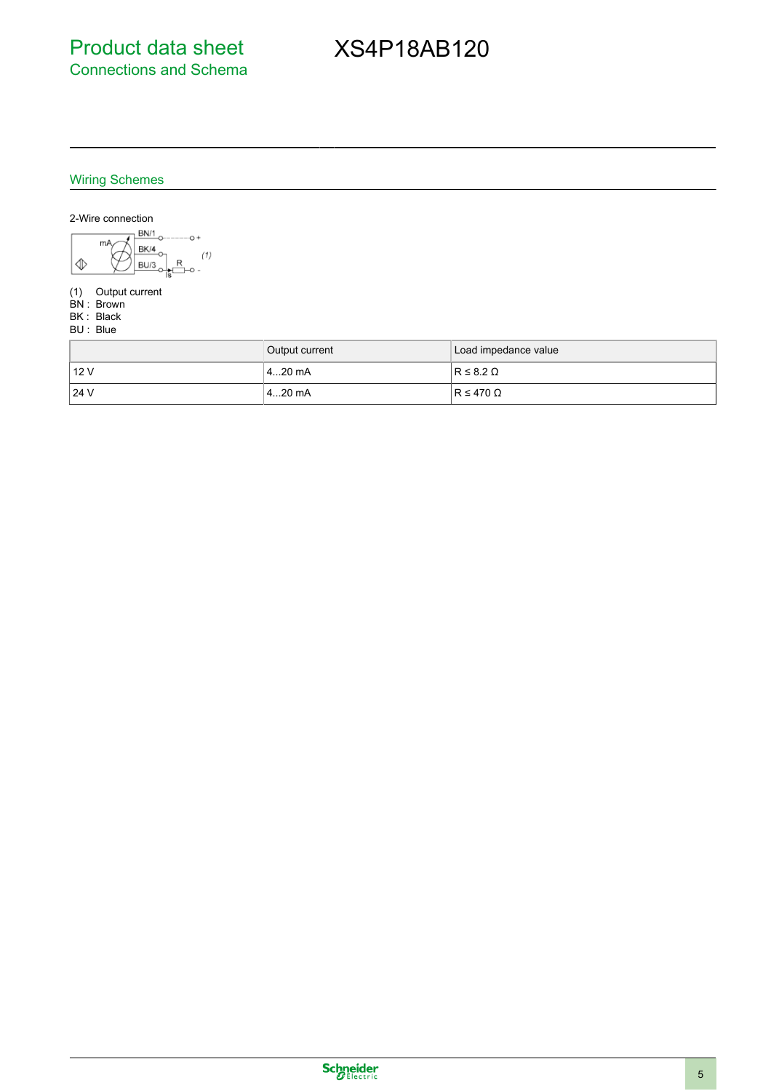# XS4P18AB120

### Wiring Schemes



- (1) Output current
- BN : Brown
- BK : Black BU : Blue

|        | Output current | Load impedance value |
|--------|----------------|----------------------|
| i 12 V | l 4…20 mA      | $R \leq 8.2 \Omega$  |
| 124V   | l 4…20 mA      | $IR \leq 470 \Omega$ |